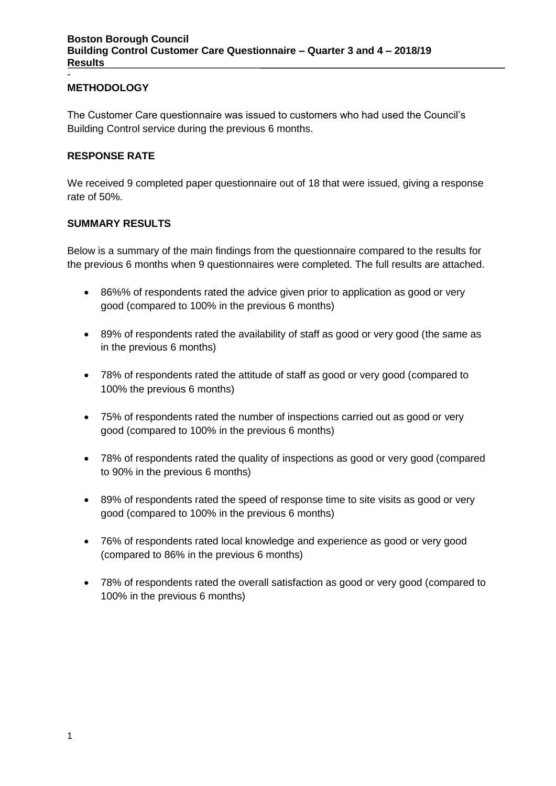### **METHODOLOGY**

-

The Customer Care questionnaire was issued to customers who had used the Council's Building Control service during the previous 6 months.

#### **RESPONSE RATE**

We received 9 completed paper questionnaire out of 18 that were issued, giving a response rate of 50%.

#### **SUMMARY RESULTS**

Below is a summary of the main findings from the questionnaire compared to the results for the previous 6 months when 9 questionnaires were completed. The full results are attached.

- 86%% of respondents rated the advice given prior to application as good or very good (compared to 100% in the previous 6 months)
- 89% of respondents rated the availability of staff as good or very good (the same as in the previous 6 months)
- 78% of respondents rated the attitude of staff as good or very good (compared to 100% the previous 6 months)
- 75% of respondents rated the number of inspections carried out as good or very good (compared to 100% in the previous 6 months)
- 78% of respondents rated the quality of inspections as good or very good (compared to 90% in the previous 6 months)
- 89% of respondents rated the speed of response time to site visits as good or very good (compared to 100% in the previous 6 months)
- 76% of respondents rated local knowledge and experience as good or very good (compared to 86% in the previous 6 months)
- 78% of respondents rated the overall satisfaction as good or very good (compared to 100% in the previous 6 months)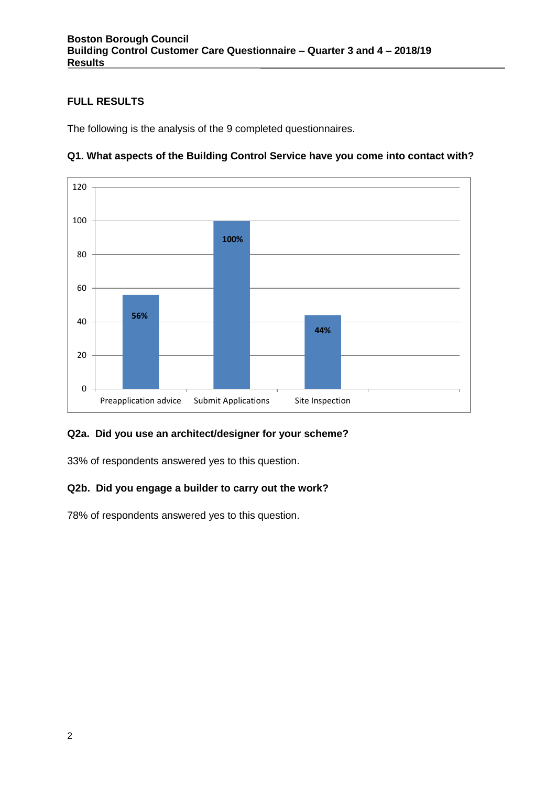## **FULL RESULTS**

The following is the analysis of the 9 completed questionnaires.



## **Q1. What aspects of the Building Control Service have you come into contact with?**

### **Q2a. Did you use an architect/designer for your scheme?**

33% of respondents answered yes to this question.

### **Q2b. Did you engage a builder to carry out the work?**

78% of respondents answered yes to this question.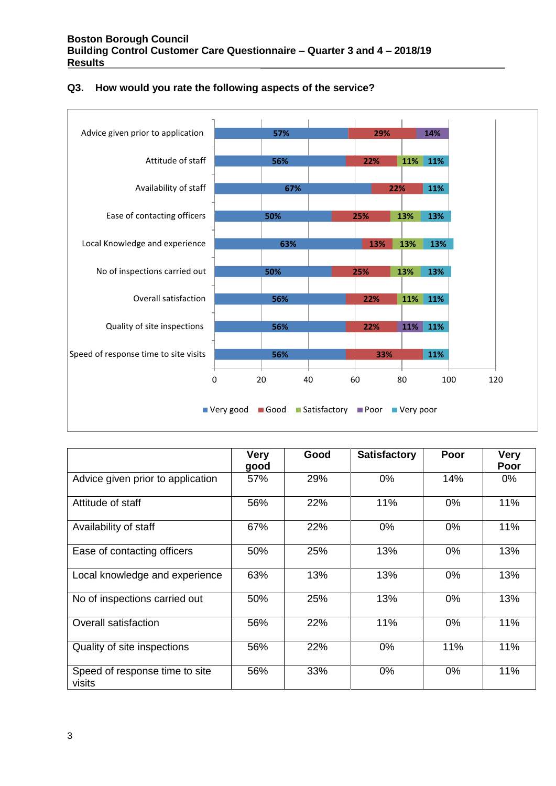

#### **Q3. How would you rate the following aspects of the service?**

|                                          | <b>Very</b><br>good | Good | <b>Satisfactory</b> | Poor  | <b>Very</b><br>Poor |
|------------------------------------------|---------------------|------|---------------------|-------|---------------------|
| Advice given prior to application        | 57%                 | 29%  | $0\%$               | 14%   | 0%                  |
| Attitude of staff                        | 56%                 | 22%  | 11%                 | 0%    | 11%                 |
| Availability of staff                    | 67%                 | 22%  | 0%                  | 0%    | 11%                 |
| Ease of contacting officers              | 50%                 | 25%  | 13%                 | $0\%$ | 13%                 |
| Local knowledge and experience           | 63%                 | 13%  | 13%                 | $0\%$ | 13%                 |
| No of inspections carried out            | 50%                 | 25%  | 13%                 | 0%    | 13%                 |
| <b>Overall satisfaction</b>              | 56%                 | 22%  | 11%                 | 0%    | 11%                 |
| Quality of site inspections              | 56%                 | 22%  | $0\%$               | 11%   | 11%                 |
| Speed of response time to site<br>visits | 56%                 | 33%  | 0%                  | 0%    | 11%                 |